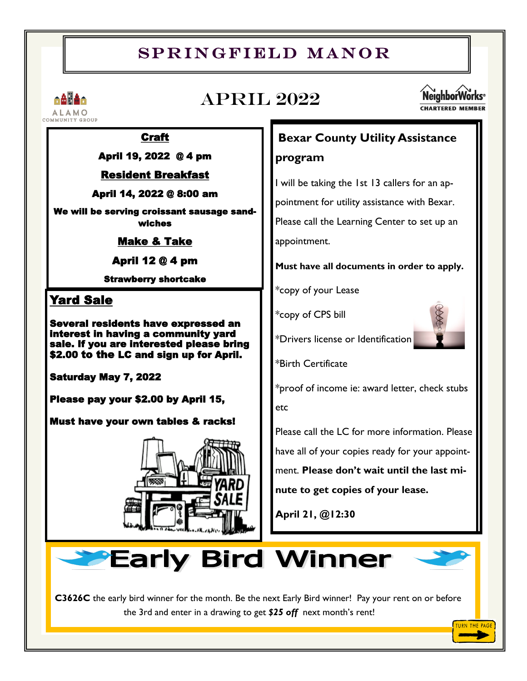# SPRINGFIELD MANOR



# April 2022



#### Craft

April 19, 2022 @ 4 pm

#### Resident Breakfast

April 14, 2022 @ 8:00 am

We will be serving croissant sausage sandwiches

Make & Take

April 12 @ 4 pm

Strawberry shortcake

## Yard Sale

Several residents have expressed an interest in having a community yard sale. If you are interested please bring \$2.00 to the LC and sign up for April.

Saturday May 7, 2022

Please pay your \$2.00 by April 15,

Must have your own tables & racks!



# **Bexar County Utility Assistance**

## **program**

I will be taking the 1st 13 callers for an appointment for utility assistance with Bexar. Please call the Learning Center to set up an appointment.

**Must have all documents in order to apply.**

\*copy of your Lease

\*copy of CPS bill

\*Drivers license or Identification

\*Birth Certificate

\*proof of income ie: award letter, check stubs etc

Please call the LC for more information. Please have all of your copies ready for your appointment. **Please don't wait until the last minute to get copies of your lease.**

**April 21, @12:30**



**C3626C** the early bird winner for the month. Be the next Early Bird winner! Pay your rent on or before the 3rd and enter in a drawing to get *\$25 off* next month's rent!